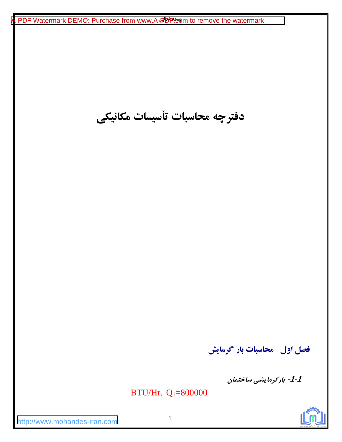[A-PDF Watermark DEMO: Purchase from www.A-PDF.com to remove the watermark](http://www.a-pdf.com/?wm-demo)

# **دفترچه محاسبات تأسیسات مکانیکی**

## **-1 فصل اول- محاسبات بار گرمایش**

**-1-1 بارگرمایشی ساختمان** 

#### BTU/Hr. Q1=800000



<http://www.mohandes-iran.com>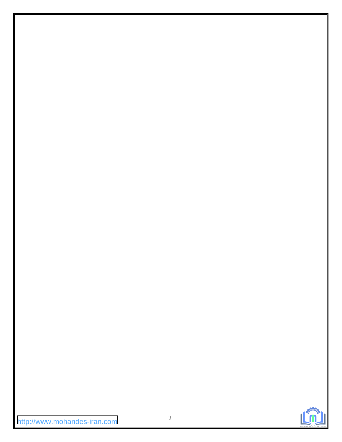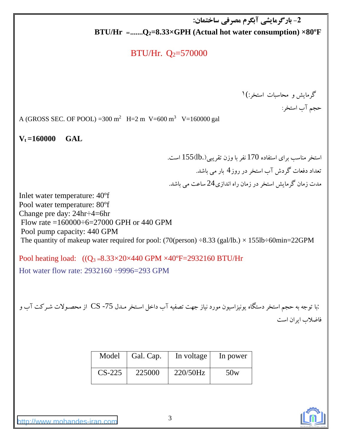**-2 بارگرمایشی آبگرم مصرفی ساختمان: BTU/Hr** = ....... $Q_2 = 8.33 \times GPH$  (Actual hot water consumption)  $\times 80^\circ F$ BTU/Hr.  $Q_2 = 570000$  گرمایش و محاسبات استخر:)١ حجم آب استخر: A (GROSS SEC. OF POOL) = 300 m<sup>2</sup> H = 2 m V = 600 m<sup>3</sup> V = 160000 gal **Vt =160000 GAL**  استخر مناسب برای استفاده 170 نفر با وزن تقریبی).lb)155 است. تعداد دفعات گردش آب استخر در روز4 بار می باشد. مدت زمان گرمایش استخر در زمان راه اندازی24 ساعت می باشد. Inlet water temperature: 40ºf

Pool water temperature: 80ºf Change pre day: 24hr÷4=6hr Flow rate =160000÷6=27000 GPH or 440 GPM Pool pump capacity: 440 GPM The quantity of makeup water required for pool: (70(person)  $\div 8.33$  (gal/lb.)  $\times$  155lb $\div 60$ min=22GPM

Pool heating load:  $((Q_3 = 8.33 \times 20 \times 440 \text{ GPM} \times 40\text{°F} = 2932160 \text{ BTU/Hr})$ Hot water flow rate: 2932160 ÷9996=293 GPM

 :با توجه به حجم استخر دستگاه یونیزاسیون مورد نیاز جهت تصفیه آب داخل استتخر متد -75 CS از محصتوتت شترکت آب و فاضالب ایران است

| Model    | Gal. Cap. | In voltage | In power |
|----------|-----------|------------|----------|
| $CS-225$ | 225000    | 220/50Hz   | 50w      |

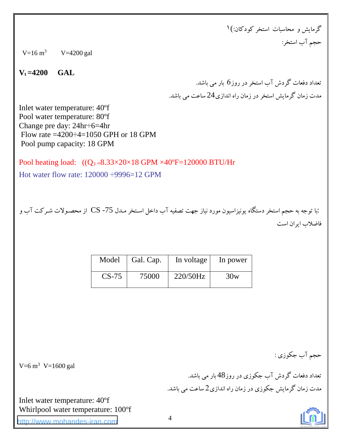گرمایش و محاسبات استخر کودکان:)١ حجم آب استخر:

 $V=16 \text{ m}^3$   $V=4200 \text{ gal}$ 

 $V_t = 4200$  GAL

تعداد دفعات گردش آب استخر در روز6 بار می باشد. مدت زمان گرمایش استخر در زمان راه اندازی24 ساعت می باشد.

Inlet water temperature: 40ºf Pool water temperature: 80ºf Change pre day: 24hr÷6=4hr Flow rate =4200÷4=1050 GPH or 18 GPM Pool pump capacity: 18 GPM

Pool heating load:  $((Q_3 = 8.33 \times 20 \times 18 \text{ GPM} \times 40\text{°F} = 120000 \text{ BTU/Hr})$ Hot water flow rate: 120000 ÷9996=12 GPM

 :با توجه به حجم استخر دستگاه یونیزاسیون مورد نیاز جهت تصفیه آب داخل استتخر متد -75 CS از محصتوتت شترکت آب و فاضالب ایران است

| Model   | Gal. Cap. | In voltage | In power |
|---------|-----------|------------|----------|
| $CS-75$ | 75000     | 220/50Hz   | 30w      |

حجم آب جکوزی :

 $V=6 \text{ m}^3$  V=1600 gal

تعداد دفعات گردش آب جکوزی در روز48 بار می باشد. مدت زمان گرمایش جکوزی در زمان راه اندازی2 ساعت می باشد.

Inlet water temperature: 40ºf Whirlpool water temperature: 100ºf

<http://www.mohandes-iran.com>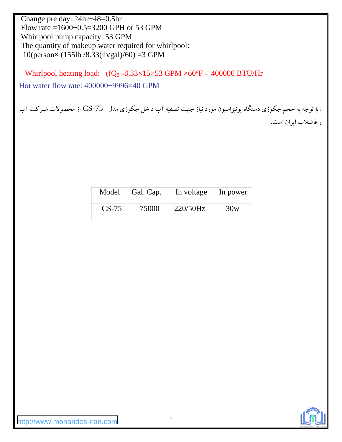Change pre day: 24hr÷48=0.5hr Flow rate =1600÷0.5=3200 GPH or 53 GPM Whirlpool pump capacity: 53 GPM The quantity of makeup water required for whirlpool: 10(person× (155lb /8.33(lb/gal)/60) =3 GPM

Whirlpool heating load:  $((Q_3 = 8.33 \times 15 \times 53 \text{ GPM} \times 60^\circ \text{F} = 400000 \text{ BTU/Hr})$ Hot water flow rate: 400000÷9996=40 GPM

: با توجه به حجم جکوزی دستگاه یونیزاسیون مورد نیاز جهت تصفیه آب داخل جکوزی مدل 75-CS از محصولات شـرکت آب و فاضالب ایران است.

| Model   | Gal. Cap. | In voltage | In power |
|---------|-----------|------------|----------|
| $CS-75$ | 75000     | 220/50Hz   | 30w      |

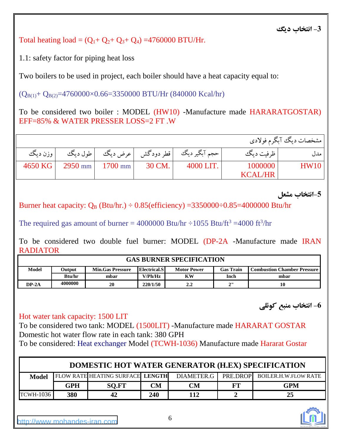Total heating load =  $(Q_1 + Q_2 + Q_3 + Q_4)$  =4760000 BTU/Hr.

1.1: safety factor for piping heat loss

Two boilers to be used in project, each boiler should have a heat capacity equal to:

 $(Q_{B(1)}$ + Q<sub>B(2)</sub>=4760000×0.66=3350000 BTU/Hr (840000 Kcal/hr)

To be considered two boiler : MODEL (HW10) -Manufacture made HARARATGOSTAR) EFF=85% & WATER PRESSER LOSS=2 FT. W

| مشخصات دیگ  آبگرم فولادی |                             |  |        |                                               |                |             |  |  |
|--------------------------|-----------------------------|--|--------|-----------------------------------------------|----------------|-------------|--|--|
| وزن ديگ                  |                             |  |        | حجم آبگیر دیگ   قطر دودگش   عرض دیگ   طول دیگ | ظرفیت دیگ      | ا مدل       |  |  |
|                          | 4650 KG   2950 mm   1700 mm |  | 30 CM. | 4000 LIT.                                     | 1000000        | <b>HW10</b> |  |  |
|                          |                             |  |        |                                               | <b>KCAL/HR</b> |             |  |  |

**-5انتخاب مشعل** 

Burner heat capacity:  $Q_B$  (Btu/hr.)  $\div$  0.85(efficiency) =3350000 $\div$ 0.85=4000000 Btu/hr

The required gas amount of burner =  $4000000$  Btu/hr  $\div 1055$  Btu/ft<sup>3</sup> =  $4000$  ft<sup>3</sup>/hr

To be considered two double fuel burner: MODEL (DP-2A -Manufacture made IRAN RADIATOR

|         | <b>GAS BURNER SPECIFICATION</b>                                                                                                           |      |         |    |      |      |  |  |
|---------|-------------------------------------------------------------------------------------------------------------------------------------------|------|---------|----|------|------|--|--|
| Model   | <b>Electrical.SI</b><br><b>Min.Gas Pressure</b><br><b>Combustion Chamber Pressure</b><br><b>Motor Power</b><br><b>Gas Train</b><br>Output |      |         |    |      |      |  |  |
|         | Btu/hr                                                                                                                                    | mbar | V/Ph/Hz | ΚW | Inch | mbar |  |  |
| $DP-2A$ | 4000000<br>211<br>220/1/50<br>20<br>2.2<br>10                                                                                             |      |         |    |      |      |  |  |

### **-6 انتخاب منبع کوئلی**

#### Hot water tank capacity: 1500 LIT

To be considered two tank: MODEL (1500LIT) -Manufacture made HARARAT GOSTAR Domestic hot water flow rate in each tank: 380 GPH To be considered: Heat exchanger Model (TCWH-1036) Manufacture made Hararat Gostar

| <b>DOMESTIC HOT WATER GENERATOR (H.EX) SPECIFICATION</b> |                                                                                    |              |                        |     |  |     |  |
|----------------------------------------------------------|------------------------------------------------------------------------------------|--------------|------------------------|-----|--|-----|--|
| <b>Model</b>                                             | FLOW RATE HEATING SURFACE LENGTH<br>PRE.DROP<br>BOILER.H.W.FLOW RATE<br>DIAMETER.G |              |                        |     |  |     |  |
|                                                          | <b>GPH</b>                                                                         | <b>SO.FT</b> | $\mathbb{C}\mathbf{M}$ | CM  |  | GPM |  |
| <b>TCWH-1036</b>                                         | 380                                                                                | 42           | <b>240</b>             | 112 |  | 25  |  |

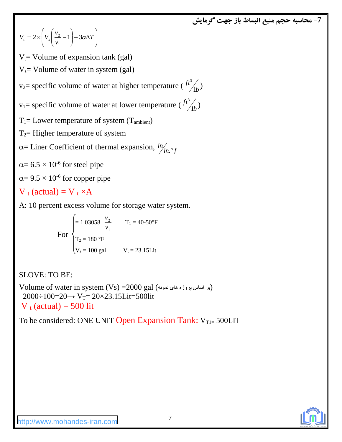**-7 محاسبه حجم منبع انبساط باز جهت گرمایش**

$$
V_t = 2 \times \left( V_s \left( \frac{v_2}{v_1} - 1 \right) - 3\alpha \Delta T \right)
$$

 $V_t$ = Volume of expansion tank (gal)

 $V_s$  = Volume of water in system (gal)

 $v_2$ = specific volume of water at higher temperature ( $\frac{f}{f}/h$ *ft*  $\overline{1}$  $\frac{3}{1}$ )

 $v_1$ = specific volume of water at lower temperature ( $\frac{df}{db}$ *ft*  $\overline{1}$  $\frac{3}{1}$ )

 $T_1$ = Lower temperature of system (T<sub>ambient</sub>)

 $T_2$ = Higher temperature of system

 $\alpha$ = Liner Coefficient of thermal expansion,  $\lim_{n \to \infty}$ *in* .°

 $\alpha$  = 6.5  $\times$  10<sup>-6</sup> for steel pipe

 $\alpha = 9.5 \times 10^{-6}$  for copper pipe

 $V_t$  (actual) =  $V_t \times A$ 

A: 10 percent excess volume for storage water system.

For 
$$
\begin{cases}\n= 1.03058 & \frac{v_2}{v_1} \\
T_2 = 180 \text{ }^{\circ}\text{F} \\
V_s = 100 \text{ gal}\n\end{cases}
$$
  $T_1 = 40.50^{\circ}\text{F}$ 

SLOVE: TO BE:

Volume of water in system (Vs) =2000 gal (نمونه های پروژه اساس بر (  $2000 \div 100 = 20 \rightarrow V_T = 20 \times 23.15$ Lit=500lit  $V_t$  (actual) = 500 lit

To be considered: ONE UNIT Open Expansion Tank:  $V_{T1=}$  500LIT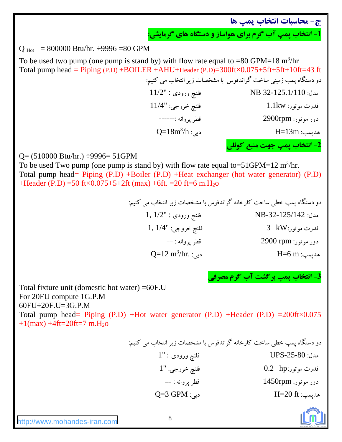**-1 انتخاب پمپ آب گرم برای هواساز و دستگاه های گرمایشی:**

**ج- محاسبات انتخاب پمپ ها** 

 $Q_{\text{Hot}} = 800000 \text{ Btu/hr.} \div 9996 = 80 \text{ GPM}$ 

To be used two pump (one pump is stand by) with flow rate equal to  $= 80$  GPM $= 18$  m<sup>3</sup>/hr Total pump head =  $Piping$  (P.D) +BOILER +AHU+Header (P.D)=300ft×0.075+5ft+5ft+10ft=43 ft

|                     | دو دستکاه پمپ زمینی ساخت کراندفوس با مشخصات زیر انتخاب می کنیم: |
|---------------------|-----------------------------------------------------------------|
| فلنچ ورودی : "11/2  | NB 32-125.1/110 :مدل:                                           |
| فلنچ خروجي: "11/4   | قدرت موتور: 1.1kw                                               |
| قطر پروانه :------  | دور موتور: 2900rpm                                              |
| $Q = 18m^3/h$ : دبی | $H = 13m$ هدپمپ:                                                |
|                     |                                                                 |

**-2 انتخاب پمپ جهت منبع کوئلی**

Q= (510000 Btu/hr.) ÷9996= 51GPM

To be used Two pump (one pump is stand by) with flow rate equal to=51GPM=12  $m^3/hr$ . Total pump head= Piping (P.D) +Boiler (P.D) +Heat exchanger (hot water generator) (P.D) +Header (P.D) =50 ft×0.075+5+2ft (max) +6ft. =20 ft=6 m.H<sub>2</sub>o

| دو دستگاه پمپ خطی ساخت کارخانه گراندفوس با مشخصات زیر انتخاب می کنیم: |                           |
|-----------------------------------------------------------------------|---------------------------|
| فلنچ ورودی : "1, $1/2$                                                | $NB-32-125/142$ .مدل:     |
| فلنچ خروجي: "1, 1/4                                                   | قدرت موتور:kW 3           |
| قطر پروانه : ––                                                       | دور موتور: 2900 rpm       |
| $Q=12 \text{ m}^3/\text{hr.}$ : دبی                                   | $H = 6 \text{ m}$ : هدېمپ |

**-3 انتخاب پمپ برگشت آب گرم مصرفی** Total fixture unit (domestic hot water) =60F.U For 20FU compute 1G.P.M 60FU÷20F.U=3G.P.M Total pump head= Piping (P.D) +Hot water generator (P.D) +Header (P.D) =200ft×0.075

 $+1$ (max)  $+4$ ft=20ft=7 m.H<sub>2</sub>o

| دو دستگاه پمپ خطی ساخت کارخانه گراندفوس با مشخصات زیر انتخاب می کنیم: |                    |
|-----------------------------------------------------------------------|--------------------|
| فلنچ ورودی : "1                                                       | $UPS-25-80$ مدل:   |
| فلنچ خروجي: "1                                                        | قدرت موتور:0.2 hp  |
| قطر پروانه : ––                                                       | دور موتور: 1450rpm |
| $Q=3$ GPM :دبی                                                        | $H = 20$ ft مديمپ: |

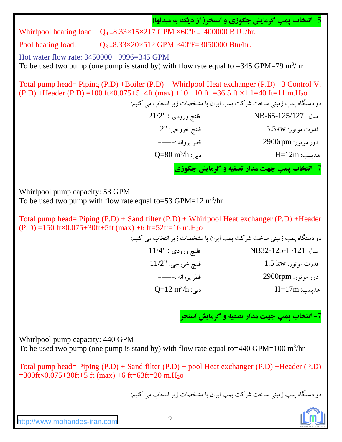**-5 انتخاب پمپ گرمایش جکوزی و استخر) از دیگ به مبدلها(** Whirlpool heating load:  $Q_4 = 8.33 \times 15 \times 217$  GPM  $\times 60^\circ$ F = 400000 BTU/hr. Pool heating load:  $Q_3 = 8.33 \times 20 \times 512$  GPM  $\times 40^{\circ}F = 3050000$  Btu/hr. Hot water flow rate: 3450000 ÷9996=345 GPM To be used two pump (one pump is stand by) with flow rate equal to  $=345$  GPM $=79$  m<sup>3</sup>/hr Total pump head= Piping (P.D) +Boiler (P.D) + Whirlpool Heat exchanger (P.D) +3 Control V.  $(P.D)$  +Header  $(P.D)$  =100 ft×0.075+5+4ft (max) +10+ 10 ft. =36.5 ft ×1.1=40 ft=11 m.H<sub>2</sub>o دو دستگاه پمپ زمینی ساخت شرکت پمپ ایران با مشخصات زیر انتخاب می کنیم:  $21/2$ " : فلنچ ورودی : "NB-65-125/127 قدرت موتور: kw5.5 فلنچ خروجی: "2 دور موتور: rpm2900 قطر پروانه -----:  $Q=80 \text{ m}^3/\text{h}$ : دبی  $H = 12m$  :مديمي **-7 انتخاب پمپ جهت مدار تصفیه و گرمایش جکوزی** Whirlpool pump capacity: 53 GPM To be used two pump with flow rate equal to=53 GPM=12 m<sup>3</sup>/hr Total pump head= Piping (P.D) + Sand filter (P.D) + Whirlpool Heat exchanger (P.D) +Header  $(P.D) =150$  ft $\times$ 0.075+30ft+5ft (max) +6 ft=52ft=16 m.H<sub>2</sub>o دو دستگاه پمپ زمینی ساخت شرکت پمپ ایران با مشخصات زیر انتخاب می کنیم: مدل: NB32-125-1 1/4" فلنچ ورودی : "11/4 قدرت موتور: kw 1.5 فلنچ خروجی: "11/2 دور موتور: rpm2900 قطر پروانه -----:  $Q=12 \text{ m}^3/\text{h}$  : دبی  $H = 17m$  :مديمپ **-7 انتخاب پمپ جهت مدار تصفیه و گرمایش استخر** Whirlpool pump capacity: 440 GPM To be used two pump (one pump is stand by) with flow rate equal to=440 GPM=100  $m^3/nr$ Total pump head= Piping (P.D) + Sand filter (P.D) + pool Heat exchanger (P.D) +Header (P.D)  $=300$ ft×0.075+30ft+5 ft (max) +6 ft=63ft=20 m.H<sub>2</sub>o دو دستگاه پمپ زمینی ساخت شرکت پمپ ایران با مشخصات زیر انتخاب می کنیم:

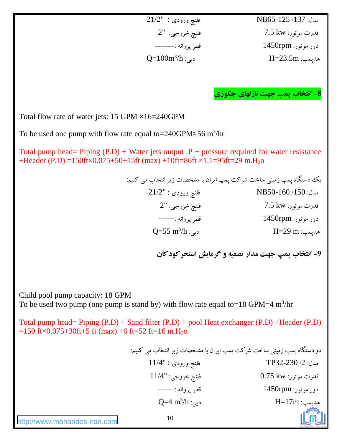$Q=100m^3/h$ : دبی

 مد : /137 65-125NB فلنچ ورودی : "21/2 قدرت موتور: kw 7.5 فلنچ خروجی: "2 دور موتور: rpm1450 قطر پروانه ------:

 $H = 23.5m$  :مدیمپ

**-8 انتخاب پمپ جهت نازلهای جکوزی**

Total flow rate of water jets: 15 GPM ×16=240GPM

To be used one pump with flow rate equal to=240GPM $\approx$ 56 m<sup>3</sup>/hr

Total pump head= Piping  $(P.D)$  + Water jets output  $P +$  pressure required for water resistance +Header (P.D) =150ft×0.075+50+15ft (max) +10ft=86ft ×1.1=95ft=29 m.H<sub>2</sub>o

|                                     | یک دستگاه پمپ زمینی ساخت شرکت پمپ ایران با مشخصات زیر انتخاب می کنیم: |
|-------------------------------------|-----------------------------------------------------------------------|
| فلنچ ورودی : "2 $1/2$               | $NB50-160/150$ مدل:                                                   |
| فلنچ خروجي: "2                      | قدرت موتور: 7.5 kw                                                    |
| قطر پروانه :------                  | دور موتور: 1450rpm                                                    |
| $Q = 55 \text{ m}^3/\text{h}$ : دبی | $H = 29 \text{ m}$ هدپمپ:                                             |

**-9 انتخاب پمپ جهت مدار تصفیه و گرمایش استخرکودکان**

Child pool pump capacity: 18 GPM To be used two pump (one pump is stand by) with flow rate equal to=18 GPM=4  $m^3$ /hr

Total pump head= Piping  $(P.D)$  + Sand filter  $(P.D)$  + pool Heat exchanger  $(P.D)$  + Header  $(P.D)$  $=150$  ft×0.075+30ft+5 ft (max) +6 ft=52 ft=16 m.H<sub>2</sub>o

> دو دستگاه پمپ زمینی ساخت شرکت پمپ ایران با مشخصات زیر انتخاب می کنیم:  $11/4$ " : فلنچ ورودی : "11/4 $\text{TP32-230}$  قدرت موتور: kw 0.75 فلنچ خروجی: "11/4 دور موتور: rpm1450 قطر پروانه -----:  $Q=4 m^3/h$  : دىي  $H = 17m$  :مديمپ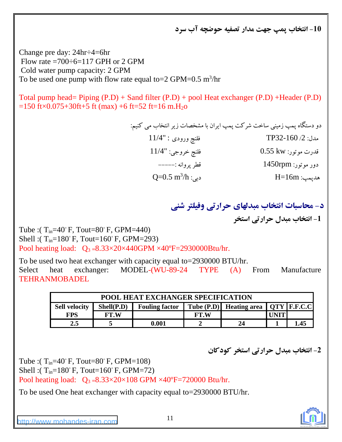**-10 انتخاب پمپ جهت مدار تصفیه حوضچه آب سرد**

Change pre day: 24hr÷4=6hr Flow rate  $=700 \div 6=117$  GPH or 2 GPM Cold water pump capacity: 2 GPM To be used one pump with flow rate equal to= $2$  GPM= $0.5$  m<sup>3</sup>/hr

Total pump head= Piping (P.D) + Sand filter (P.D) + pool Heat exchanger (P.D) +Header (P.D)  $=150$  ft×0.075+30ft+5 ft (max) +6 ft=52 ft=16 m.H<sub>2</sub>o

دو دستگاه پمپ زمینی ساخت شرکت پمپ ایران با مشخصات زیر انتخاب می کنیم: مد : /2 32-160TP فلنچ ورودی : "11/4 قدرت موتور: kw 0.55 فلنچ خروجی: "11/4 دور موتور: rpm1450 قطر پروانه -----: Q=0.5 m<sup>3</sup> /h :دبی H=16m :هدپمپ

**د- محاسبات انتخاب مبدلهای حرارتی وفیلتر شنی**

**-1 انتخاب مبدل حرارتی استخر** 

Tube :  $(T_{in} = 40^{\circ} \text{F}, \text{Tout} = 80^{\circ} \text{F}, \text{GPM} = 440)$ Shell:  $(T_{in} = 180^\circ \text{F}, \text{Tout} = 160^\circ \text{F}, \text{GPM} = 293)$ Pool heating load:  $Q_3 = 8.33 \times 20 \times 440$  GPM  $\times 40$ <sup>o</sup> F = 2930000 Btu/hr.

To be used two heat exchanger with capacity equal to=2930000 BTU/hr. Select heat exchanger: MODEL-(WU-89-24 TYPE (A) From Manufacture TEHRANMOBADEL

| <b>POOL HEAT EXCHANGER SPECIFICATION</b> |            |                       |      |                                          |             |      |  |
|------------------------------------------|------------|-----------------------|------|------------------------------------------|-------------|------|--|
| <b>Sell velocity</b>                     | Shell(P.D) | <b>Fouling factor</b> |      | Tube (P.D)  Heating area   QTY   F.F.C.C |             |      |  |
| <b>FPS</b>                               | FT.W       |                       | FT.W |                                          | <b>UNIT</b> |      |  |
| 2.5                                      |            | 0.001                 |      | 24                                       |             | 1.45 |  |

**-2 انتخاب مبدل حرارتی استخر کودکان**

Tube :  $(T_{in} = 40^{\circ} \text{F}, \text{Tout} = 80^{\circ} \text{F}, \text{GPM} = 108)$ Shell :( $T_{in} = 180^\circ$  F, Tout=160 $^\circ$  F, GPM=72)

Pool heating load:  $Q_3 = 8.33 \times 20 \times 108$  GPM  $\times 40^{\circ}$ F=720000 Btu/hr.

To be used One heat exchanger with capacity equal to=2930000 BTU/hr.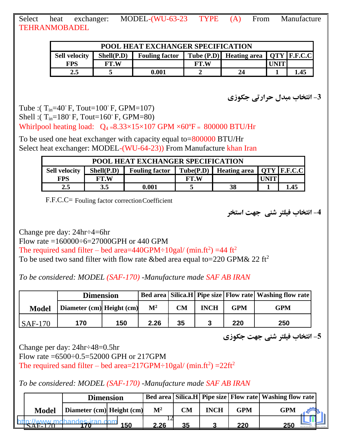Select heat exchanger: MODEL-(WU-63-23 TYPE (A) From Manufacture TEHRANMOBADEL

| <b>POOL HEAT EXCHANGER SPECIFICATION</b> |                                                                                   |       |             |    |             |      |  |
|------------------------------------------|-----------------------------------------------------------------------------------|-------|-------------|----|-------------|------|--|
| <b>Sell velocity</b>                     | Tube (P.D)  Heating area   QTY   F.F.C.C  <br>Shell(P.D)<br><b>Fouling factor</b> |       |             |    |             |      |  |
| FPS                                      | FT.W                                                                              |       | <b>FT.W</b> |    | <b>UNIT</b> |      |  |
| 2.5                                      |                                                                                   | 0.001 |             | 24 |             | 1.45 |  |

**-3 انتخاب مبدل حرارتی جکوزی**

Tube :( $T_{in} = 40^\circ$  F, Tout=100 $\degree$  F, GPM=107) Shell :( $T_{in} = 180^\circ$  F, Tout=160° F, GPM=80) Whirlpool heating load:  $Q_4 = 8.33 \times 15 \times 107$  GPM  $\times 60^\circ$ F = 800000 BTU/Hr

To be used one heat exchanger with capacity equal to=800000 BTU/Hr Select heat exchanger: MODEL-(WU-64-23)) From Manufacture khan Iran

| <b>POOL HEAT EXCHANGER SPECIFICATION</b> |                                                                                    |       |      |    |  |     |  |  |  |  |
|------------------------------------------|------------------------------------------------------------------------------------|-------|------|----|--|-----|--|--|--|--|
| <b>Sell velocity</b>                     | Heating area   QTY   F.F.C.C  <br>Tube(P.D)<br>Shell(P.D)<br><b>Fouling factor</b> |       |      |    |  |     |  |  |  |  |
| FPS                                      | FT.W                                                                               |       | FT.W |    |  |     |  |  |  |  |
| 2.5                                      | 3.5                                                                                | 0.001 |      | 38 |  | .45 |  |  |  |  |

F.F.C.C= Fouling factor correctionCoefficient

**-4 انتخاب فیلتر شنی جهت استخر**

Change pre day: 24hr÷4=6hr Flow rate =160000÷6=27000GPH or 440 GPM The required sand filter – bed area= $440$ GPM $\div 10$ gal/ (min.ft<sup>2</sup>) = 44 ft<sup>2</sup> To be used two sand filter with flow rate &bed area equal to=220 GPM& 22 ft<sup>2</sup>

*To be considered: MODEL (SAF-170) -Manufacture made SAF AB IRAN*

|              | <b>Dimension</b>          |     |                |    |             |            | Bed area   Silica.H   Pipe size   Flow rate   Washing flow rate |
|--------------|---------------------------|-----|----------------|----|-------------|------------|-----------------------------------------------------------------|
| <b>Model</b> | Diameter (cm) Height (cm) |     | $\mathbf{M}^2$ | CM | <b>INCH</b> | <b>GPM</b> | GPM                                                             |
| $SAF-170$    | 170                       | 150 | 2.26           | 35 |             | 220        | 250                                                             |

**-5 انتخاب فیلتر شنی جهت جکوزی** 

Change per day: 24hr÷48=0.5hr

Flow rate =6500÷0.5=52000 GPH or 217GPM

The required sand filter – bed area= $217$ GPM $\div 10$ gal/ (min.ft<sup>2</sup>) = $22$ ft<sup>2</sup>

*To be considered: MODEL (SAF-170) -Manufacture made SAF AB IRAN*

|                      | <b>Dimension</b>              |     |                |           |             |     | Bed area Silica.H Pipe size Flow rate Washing flow rate |  |
|----------------------|-------------------------------|-----|----------------|-----------|-------------|-----|---------------------------------------------------------|--|
| <b>Model</b>         | Diameter $(cm)$ Height $(cm)$ |     | $\mathbf{M}^2$ | <b>CM</b> | <b>INCH</b> | GPM | <b>GPM</b>                                              |  |
| ապակ <b>ապակվ</b> թա | mahandes-iran.com             | 150 | 2.26           | 35        |             | 220 | 250                                                     |  |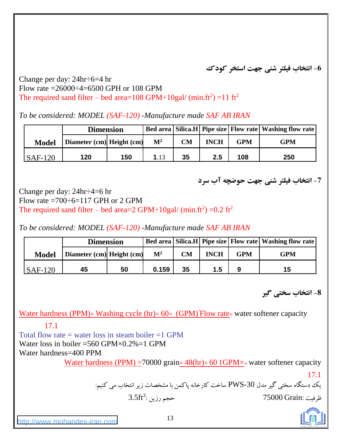**-6 انتخاب فیلتر شنی جهت استخر کودک**

Change per day: 24hr÷6=4 hr Flow rate =26000÷4=6500 GPH or 108 GPM The required sand filter – bed area= $108$  GPM $\div 10$ gal/ (min.ft<sup>2</sup>) = 11 ft<sup>2</sup>

*To be considered: MODEL (SAF-120) -Manufacture made SAF AB IRAN*

|              | <b>Dimension</b>          |     |                |           |             |     | Bed area   Silica.H   Pipe size   Flow rate   Washing flow rate |
|--------------|---------------------------|-----|----------------|-----------|-------------|-----|-----------------------------------------------------------------|
| <b>Model</b> | Diameter (cm) Height (cm) |     | $\mathbf{M}^2$ | <b>CM</b> | <b>INCH</b> | GPM | <b>GPM</b>                                                      |
| $SAF-120$    | 120                       | 150 | 1.13           | 35        | 2.5         | 108 | 250                                                             |

**-7 انتخاب فیلتر شنی جهت حوضچه آب سرد**

Change per day: 24hr÷4=6 hr Flow rate  $=700-6=117$  GPH or 2 GPM The required sand filter – bed area= $2$  GPM $\div 10$ gal/ (min.ft<sup>2</sup>) = $0.2$  ft<sup>2</sup>

*To be considered: MODEL (SAF-120) -Manufacture made SAF AB IRAN*

|              | <b>Dimension</b>          |    |                |    |      |            | Bed area Silica.H Pipe size Flow rate Washing flow rate |
|--------------|---------------------------|----|----------------|----|------|------------|---------------------------------------------------------|
| <b>Model</b> | Diameter (cm) Height (cm) |    | $\mathbf{M}^2$ | CM | INCH | <b>GPM</b> | GPM                                                     |
| $SAF-120$    | 45                        | 50 | 0.159          | 35 | 1.5  |            |                                                         |

**-8 انتخاب سختی گیر** 

Water hardness (PPM)× Washing cycle (hr)×  $60\times$  (GPM)<sup> $\text{`Flow rate}$ </sup> = water softener capacity

17.1

Total flow rate  $=$  water loss in steam boiler  $=1$  GPM Water loss in boiler =  $560$  GPM $\times$ 0.2% = 1 GPM Water hardness=400 PPM

Water hardness (PPM) =70000 grain×  $48$ (hr)× 60 1GPM $\times$ = water softener capacity

یک دستگاه سختی گیر مدل PWS-30 ساخت کارخانه پاکمن با مشخصات زیر انتخاب می کنیم: ft3.5 <sup>3</sup> ظرفیت :Grain 75000 حجم رزین :



17.1